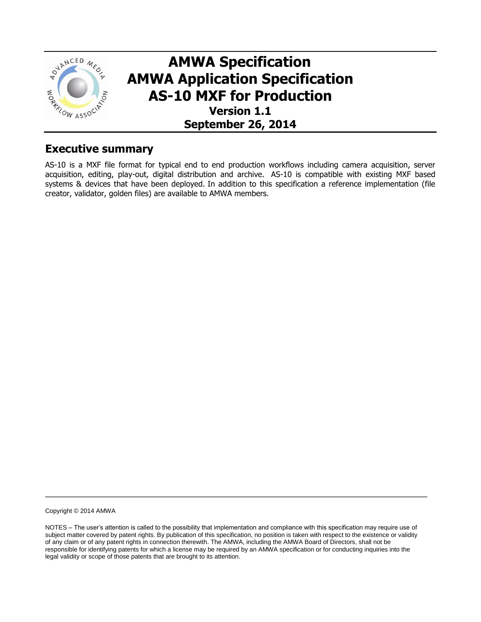

## **Executive summary**

AS-10 is a MXF file format for typical end to end production workflows including camera acquisition, server acquisition, editing, play-out, digital distribution and archive. AS-10 is compatible with existing MXF based systems & devices that have been deployed. In addition to this specification a reference implementation (file creator, validator, golden files) are available to AMWA members.

Copyright © 2014 AMWA

\_\_\_\_\_\_\_\_\_\_\_\_\_\_\_\_\_\_\_\_\_\_\_\_\_\_\_\_\_\_\_\_\_\_\_\_\_\_\_\_\_\_\_\_\_\_\_\_\_\_\_\_\_\_\_\_\_\_\_\_\_\_\_\_\_\_\_\_\_\_\_\_\_\_\_\_\_\_\_\_\_

NOTES – The user's attention is called to the possibility that implementation and compliance with this specification may require use of subject matter covered by patent rights. By publication of this specification, no position is taken with respect to the existence or validity of any claim or of any patent rights in connection therewith. The AMWA, including the AMWA Board of Directors, shall not be responsible for identifying patents for which a license may be required by an AMWA specification or for conducting inquiries into the legal validity or scope of those patents that are brought to its attention.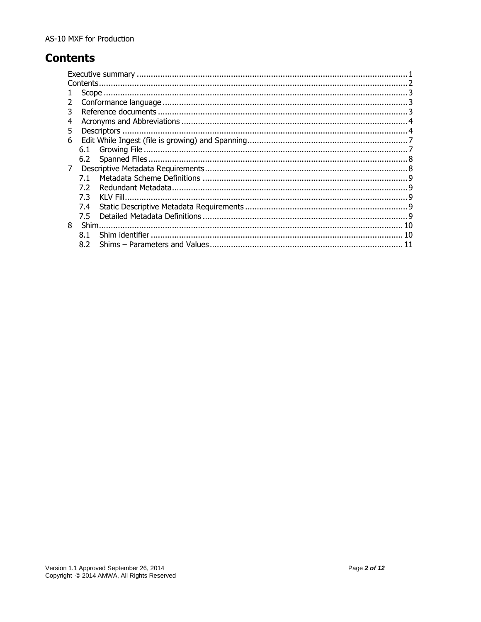## **Contents**

|   | Contents. |           |  |
|---|-----------|-----------|--|
|   |           |           |  |
|   |           |           |  |
|   |           |           |  |
|   |           |           |  |
| 5 |           |           |  |
| 6 |           |           |  |
|   | 6.1       |           |  |
|   | 6.2       |           |  |
| 7 |           |           |  |
|   | 7.1       |           |  |
|   | 7.2       |           |  |
|   | 7.3       | KLV Fill. |  |
|   | 7.4       |           |  |
|   | 7.5       |           |  |
| 8 | Shim      |           |  |
|   | 8.1       |           |  |
|   | 8.2       |           |  |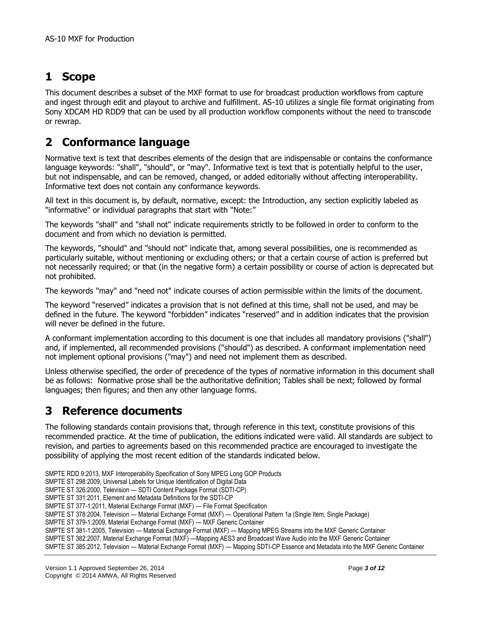# **1 Scope**

This document describes a subset of the MXF format to use for broadcast production workflows from capture and ingest through edit and playout to archive and fulfillment. AS-10 utilizes a single file format originating from Sony XDCAM HD RDD9 that can be used by all production workflow components without the need to transcode or rewrap.

## **2 Conformance language**

Normative text is text that describes elements of the design that are indispensable or contains the conformance language keywords: "shall", "should", or "may". Informative text is text that is potentially helpful to the user, but not indispensable, and can be removed, changed, or added editorially without affecting interoperability. Informative text does not contain any conformance keywords.

All text in this document is, by default, normative, except: the Introduction, any section explicitly labeled as "informative" or individual paragraphs that start with "Note:"

The keywords "shall" and "shall not" indicate requirements strictly to be followed in order to conform to the document and from which no deviation is permitted.

The keywords, "should" and "should not" indicate that, among several possibilities, one is recommended as particularly suitable, without mentioning or excluding others; or that a certain course of action is preferred but not necessarily required; or that (in the negative form) a certain possibility or course of action is deprecated but not prohibited.

The keywords "may" and "need not" indicate courses of action permissible within the limits of the document.

The keyword "reserved" indicates a provision that is not defined at this time, shall not be used, and may be defined in the future. The keyword "forbidden" indicates "reserved" and in addition indicates that the provision will never be defined in the future.

A conformant implementation according to this document is one that includes all mandatory provisions ("shall") and, if implemented, all recommended provisions ("should") as described. A conformant implementation need not implement optional provisions ("may") and need not implement them as described.

Unless otherwise specified, the order of precedence of the types of normative information in this document shall be as follows: Normative prose shall be the authoritative definition; Tables shall be next; followed by formal languages; then figures; and then any other language forms.

# **3 Reference documents**

The following standards contain provisions that, through reference in this text, constitute provisions of this recommended practice. At the time of publication, the editions indicated were valid. All standards are subject to revision, and parties to agreements based on this recommended practice are encouraged to investigate the possibility of applying the most recent edition of the standards indicated below.

SMPTE RDD 9:2013, MXF Interoperability Specification of Sony MPEG Long GOP Products

- SMPTE ST 326:2000, Television SDTI Content Package Format (SDTI-CP)
- SMPTE ST 331:2011, Element and Metadata Definitions for the SDTI-CP

SMPTE ST 381-1:2005, Television — Material Exchange Format (MXF) — Mapping MPEG Streams into the MXF Generic Container

SMPTE ST 382:2007, Material Exchange Format (MXF) —Mapping AES3 and Broadcast Wave Audio into the MXF Generic Container

SMPTE ST 385:2012, Television — Material Exchange Format (MXF) — Mapping SDTI-CP Essence and Metadata into the MXF Generic Container

SMPTE ST 298:2009, Universal Labels for Unique Identification of Digital Data

SMPTE ST 377-1:2011, Material Exchange Format (MXF) — File Format Specification

SMPTE ST 378:2004, Television — Material Exchange Format (MXF) — Operational Pattern 1a (Single Item, Single Package)

SMPTE ST 379-1:2009, Material Exchange Format (MXF) — MXF Generic Container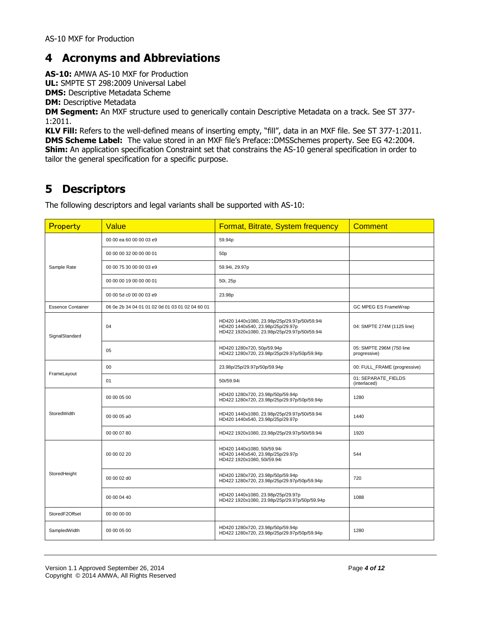# **4 Acronyms and Abbreviations**

**AS-10:** AMWA AS-10 MXF for Production

**UL:** SMPTE ST 298:2009 Universal Label

**DMS: Descriptive Metadata Scheme** 

**DM:** Descriptive Metadata

**DM Segment:** An MXF structure used to generically contain Descriptive Metadata on a track. See ST 377- 1:2011.

**KLV Fill:** Refers to the well-defined means of inserting empty, "fill", data in an MXF file. See ST 377-1:2011. **DMS Scheme Label:** The value stored in an MXF file's Preface::DMSSchemes property. See EG 42:2004. **Shim:** An application specification Constraint set that constrains the AS-10 general specification in order to tailor the general specification for a specific purpose.

# **5 Descriptors**

The following descriptors and legal variants shall be supported with AS-10:

| Property                 | Value                                           | Format, Bitrate, System frequency                                                                                                   | <b>Comment</b>                           |
|--------------------------|-------------------------------------------------|-------------------------------------------------------------------------------------------------------------------------------------|------------------------------------------|
|                          | 00 00 ea 60 00 00 03 e9                         | 59.94p                                                                                                                              |                                          |
|                          | 00 00 00 32 00 00 00 01                         | 50 <sub>p</sub>                                                                                                                     |                                          |
| Sample Rate              | 00 00 75 30 00 00 03 e9                         | 59.94i, 29.97p                                                                                                                      |                                          |
|                          | 00 00 00 19 00 00 00 01                         | 50i, 25p                                                                                                                            |                                          |
|                          | 00 00 5d c0 00 00 03 e9                         | 23.98p                                                                                                                              |                                          |
| <b>Essence Container</b> | 06 0e 2b 34 04 01 01 02 0d 01 03 01 02 04 60 01 |                                                                                                                                     | GC MPEG ES FrameWrap                     |
| SignalStandard           | 04                                              | HD420 1440x1080, 23.98p/25p/29.97p/50i/59.94i<br>HD420 1440x540, 23.98p/25p/29.97p<br>HD422 1920x1080, 23.98p/25p/29.97p/50i/59.94i | 04: SMPTE 274M (1125 line)               |
|                          | 05                                              | HD420 1280x720, 50p/59.94p<br>HD422 1280x720, 23.98p/25p/29.97p/50p/59.94p                                                          | 05: SMPTE 296M (750 line<br>progressive) |
| FrameLayout              | 00                                              | 23.98p/25p/29.97p/50p/59.94p                                                                                                        | 00: FULL_FRAME (progressive)             |
|                          | 01                                              | 50i/59.94i                                                                                                                          | 01: SEPARATE FIELDS<br>(interlaced)      |
|                          | 00 00 05 00                                     | HD420 1280x720, 23.98p/50p/59.94p<br>HD422 1280x720, 23.98p/25p/29.97p/50p/59.94p                                                   | 1280                                     |
| StoredWidth              | 00 00 05 a0                                     | HD420 1440x1080, 23.98p/25p/29.97p/50i/59.94i<br>HD420 1440x540, 23.98p/25p/29.97p                                                  | 1440                                     |
|                          | 00 00 07 80                                     | HD422 1920x1080, 23.98p/25p/29.97p/50i/59.94i                                                                                       | 1920                                     |
|                          | 00 00 02 20                                     | HD420 1440x1080, 50i/59.94i<br>HD420 1440x540, 23.98p/25p/29.97p<br>HD422 1920x1080, 50i/59.94i                                     | 544                                      |
| StoredHeight             | 00 00 02 d0                                     | HD420 1280x720, 23.98p/50p/59.94p<br>HD422 1280x720, 23.98p/25p/29.97p/50p/59.94p                                                   | 720                                      |
|                          | 00 00 04 40                                     | HD420 1440x1080, 23.98p/25p/29.97p<br>HD422 1920x1080, 23.98p/25p/29.97p/50p/59.94p                                                 | 1088                                     |
| StoredF2Offset           | 00 00 00 00                                     |                                                                                                                                     |                                          |
| SampledWidth             | 00 00 05 00                                     | HD420 1280x720, 23.98p/50p/59.94p<br>HD422 1280x720, 23.98p/25p/29.97p/50p/59.94p                                                   | 1280                                     |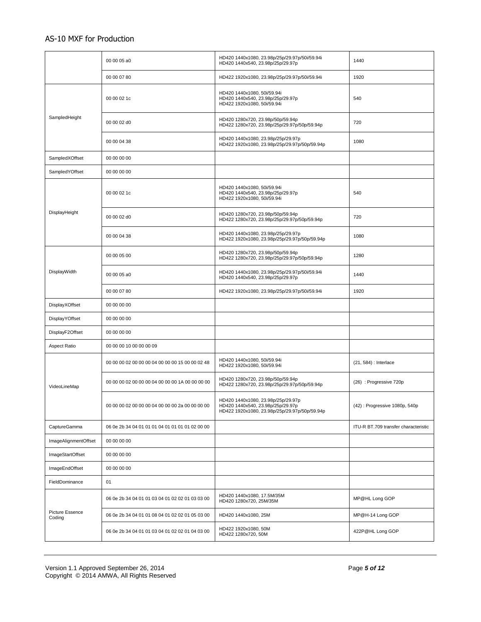|                           | 00 00 05 a0                                     | HD420 1440x1080, 23.98p/25p/29.97p/50i/59.94i<br>HD420 1440x540, 23.98p/25p/29.97p                                       | 1440                                 |
|---------------------------|-------------------------------------------------|--------------------------------------------------------------------------------------------------------------------------|--------------------------------------|
|                           | 00 00 07 80                                     | HD422 1920x1080, 23.98p/25p/29.97p/50i/59.94i                                                                            | 1920                                 |
|                           | 00 00 02 1c                                     | HD420 1440x1080, 50i/59.94i<br>HD420 1440x540, 23.98p/25p/29.97p<br>HD422 1920x1080, 50i/59.94i                          | 540                                  |
| SampledHeight             | 00 00 02 d0                                     | HD420 1280x720, 23.98p/50p/59.94p<br>HD422 1280x720, 23.98p/25p/29.97p/50p/59.94p                                        | 720                                  |
|                           | 00 00 04 38                                     | HD420 1440x1080, 23.98p/25p/29.97p<br>HD422 1920x1080, 23.98p/25p/29.97p/50p/59.94p                                      | 1080                                 |
| SampledXOffset            | 00 00 00 00                                     |                                                                                                                          |                                      |
| SampledYOffset            | 00 00 00 00                                     |                                                                                                                          |                                      |
|                           | 00 00 02 1c                                     | HD420 1440x1080, 50i/59.94i<br>HD420 1440x540, 23.98p/25p/29.97p<br>HD422 1920x1080, 50i/59.94i                          | 540                                  |
| DisplayHeight             | 00 00 02 d0                                     | HD420 1280x720, 23.98p/50p/59.94p<br>HD422 1280x720, 23.98p/25p/29.97p/50p/59.94p                                        | 720                                  |
|                           | 00 00 04 38                                     | HD420 1440x1080, 23.98p/25p/29.97p<br>HD422 1920x1080, 23.98p/25p/29.97p/50p/59.94p                                      | 1080                                 |
|                           | 00 00 05 00                                     | HD420 1280x720, 23.98p/50p/59.94p<br>HD422 1280x720, 23.98p/25p/29.97p/50p/59.94p                                        | 1280                                 |
| DisplayWidth              | 00 00 05 a0                                     | HD420 1440x1080, 23.98p/25p/29.97p/50i/59.94i<br>HD420 1440x540, 23.98p/25p/29.97p                                       | 1440                                 |
|                           | 00 00 07 80                                     | HD422 1920x1080, 23.98p/25p/29.97p/50i/59.94i                                                                            | 1920                                 |
| DisplayXOffset            | 00 00 00 00                                     |                                                                                                                          |                                      |
| DisplayYOffset            | 00 00 00 00                                     |                                                                                                                          |                                      |
| DisplayF2Offset           | 00 00 00 00                                     |                                                                                                                          |                                      |
| Aspect Ratio              | 00 00 00 10 00 00 00 09                         |                                                                                                                          |                                      |
|                           | 00 00 00 02 00 00 00 04 00 00 00 15 00 00 02 48 | HD420 1440x1080, 50i/59.94i<br>HD422 1920x1080, 50i/59.94i                                                               | (21, 584) : Interlace                |
| VideoLineMap              | 00 00 00 02 00 00 00 04 00 00 00 1A 00 00 00 00 | HD420 1280x720, 23.98p/50p/59.94p<br>HD422 1280x720, 23.98p/25p/29.97p/50p/59.94p                                        | (26) : Progressive 720p              |
|                           | 00 00 00 02 00 00 00 04 00 00 00 2a 00 00 00 00 | HD420 1440x1080, 23.98p/25p/29.97p<br>HD420 1440x540, 23.98p/25p/29.97p<br>HD422 1920x1080, 23.98p/25p/29.97p/50p/59.94p | (42) : Progressive 1080p, 540p       |
| CaptureGamma              | 06 0e 2b 34 04 01 01 01 04 01 01 01 01 02 00 00 |                                                                                                                          | ITU-R BT.709 transfer characteristic |
| ImageAlignmentOffset      | 00 00 00 00                                     |                                                                                                                          |                                      |
| ImageStartOffset          | 00 00 00 00                                     |                                                                                                                          |                                      |
| ImageEndOffset            | 00 00 00 00                                     |                                                                                                                          |                                      |
| FieldDominance            | 01                                              |                                                                                                                          |                                      |
|                           | 06 0e 2b 34 04 01 01 03 04 01 02 02 01 03 03 00 | HD420 1440x1080, 17.5M/35M<br>HD420 1280x720, 25M/35M                                                                    | MP@HL Long GOP                       |
| Picture Essence<br>Coding | 06 0e 2b 34 04 01 01 08 04 01 02 02 01 05 03 00 | HD420 1440x1080, 25M                                                                                                     | MP@H-14 Long GOP                     |
|                           | 06 0e 2b 34 04 01 01 03 04 01 02 02 01 04 03 00 | HD422 1920x1080, 50M<br>HD422 1280x720, 50M                                                                              | 422P@HL Long GOP                     |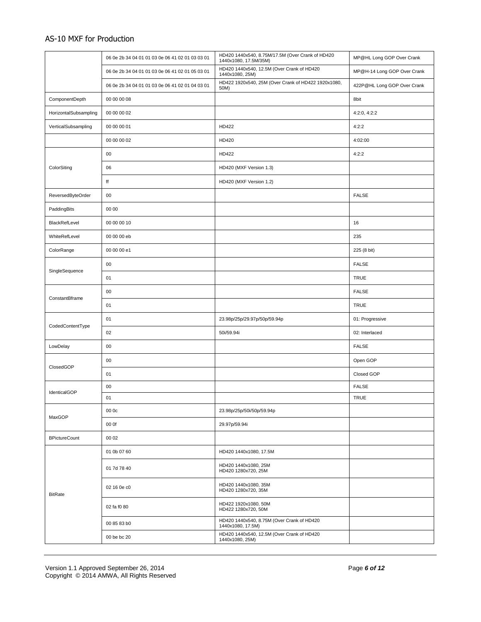|                       | 06 0e 2b 34 04 01 01 03 0e 06 41 02 01 03 03 01 | HD420 1440x540, 8.75M/17.5M (Over Crank of HD420<br>1440x1080, 17.5M/35M) | MP@HL Long GOP Over Crank   |
|-----------------------|-------------------------------------------------|---------------------------------------------------------------------------|-----------------------------|
|                       | 06 0e 2b 34 04 01 01 03 0e 06 41 02 01 05 03 01 | HD420 1440x540, 12.5M (Over Crank of HD420<br>1440x1080, 25M)             | MP@H-14 Long GOP Over Crank |
|                       | 06 0e 2b 34 04 01 01 03 0e 06 41 02 01 04 03 01 | HD422 1920x540, 25M (Over Crank of HD422 1920x1080,<br>50M)               | 422P@HL Long GOP Over Crank |
| ComponentDepth        | 00 00 00 08                                     |                                                                           | 8bit                        |
| HorizontalSubsampling | 00 00 00 02                                     |                                                                           | 4:2:0, 4:2:2                |
| VerticalSubsampling   | 00 00 00 01                                     | HD422                                                                     | 4:2:2                       |
|                       | 00 00 00 02                                     | HD420                                                                     | 4:02:00                     |
|                       | 00                                              | HD422                                                                     | 4:2:2                       |
| ColorSiting           | 06                                              | HD420 (MXF Version 1.3)                                                   |                             |
|                       | ff                                              | HD420 (MXF Version 1.2)                                                   |                             |
| ReversedByteOrder     | 00                                              |                                                                           | <b>FALSE</b>                |
| PaddingBits           | 00 00                                           |                                                                           |                             |
| BlackRefLevel         | 00 00 00 10                                     |                                                                           | 16                          |
| WhiteRefLevel         | 00 00 00 eb                                     |                                                                           | 235                         |
| ColorRange            | 00 00 00 e1                                     |                                                                           | 225 (8 bit)                 |
|                       | 00                                              |                                                                           | <b>FALSE</b>                |
| SingleSequence        | 01                                              |                                                                           | <b>TRUE</b>                 |
|                       | 00                                              |                                                                           | <b>FALSE</b>                |
| ConstantBframe        | 01                                              |                                                                           | <b>TRUE</b>                 |
|                       | 01                                              | 23.98p/25p/29.97p/50p/59.94p                                              | 01: Progressive             |
| CodedContentType      | 02                                              | 50i/59.94i                                                                | 02: Interlaced              |
| LowDelay              | $00\,$                                          |                                                                           | <b>FALSE</b>                |
|                       | 00                                              |                                                                           | Open GOP                    |
| ClosedGOP             | 01                                              |                                                                           | Closed GOP                  |
| IdenticalGOP          | 00                                              |                                                                           | <b>FALSE</b>                |
|                       | 01                                              |                                                                           | <b>TRUE</b>                 |
| MaxGOP                | 000c                                            | 23.98p/25p/50i/50p/59.94p                                                 |                             |
|                       | 00 Of                                           | 29.97p/59.94i                                                             |                             |
| <b>BPictureCount</b>  | 00 02                                           |                                                                           |                             |
|                       | 01 0b 07 60                                     | HD420 1440x1080, 17.5M                                                    |                             |
|                       | 01 7d 78 40                                     | HD420 1440x1080, 25M<br>HD420 1280x720, 25M                               |                             |
| <b>BitRate</b>        | 02 16 0e c0                                     | HD420 1440x1080, 35M<br>HD420 1280x720, 35M                               |                             |
|                       | 02 fa f0 80                                     | HD422 1920x1080, 50M<br>HD422 1280x720, 50M                               |                             |
|                       | 00 85 83 b0                                     | HD420 1440x540, 8.75M (Over Crank of HD420<br>1440x1080, 17.5M)           |                             |
|                       | 00 be bc 20                                     | HD420 1440x540, 12.5M (Over Crank of HD420<br>1440x1080, 25M)             |                             |
|                       |                                                 |                                                                           |                             |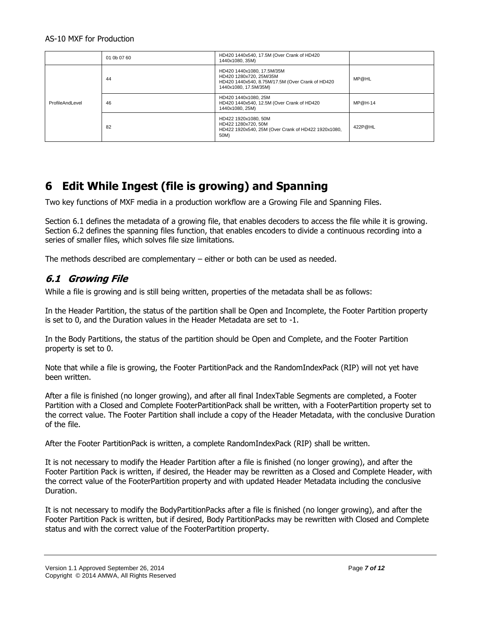|                 | 01 0b 07 60 | HD420 1440x540, 17.5M (Over Crank of HD420<br>1440x1080, 35M)                                                                      |         |
|-----------------|-------------|------------------------------------------------------------------------------------------------------------------------------------|---------|
|                 | 44          | HD420 1440x1080, 17.5M/35M<br>HD420 1280x720, 25M/35M<br>HD420 1440x540, 8.75M/17.5M (Over Crank of HD420<br>1440x1080, 17.5M/35M) | MP@HL   |
| ProfileAndLevel | 46          | HD420 1440x1080, 25M<br>HD420 1440x540, 12.5M (Over Crank of HD420<br>1440x1080, 25M)                                              | MP@H-14 |
|                 | 82          | HD422 1920x1080, 50M<br>HD422 1280x720, 50M<br>HD422 1920x540, 25M (Over Crank of HD422 1920x1080,<br>50M)                         | 422P@HL |

# **6 Edit While Ingest (file is growing) and Spanning**

Two key functions of MXF media in a production workflow are a Growing File and Spanning Files.

Section 6.1 defines the metadata of a growing file, that enables decoders to access the file while it is growing. Section 6.2 defines the spanning files function, that enables encoders to divide a continuous recording into a series of smaller files, which solves file size limitations.

<span id="page-6-0"></span>The methods described are complementary – either or both can be used as needed.

### **6.1 Growing File**

While a file is growing and is still being written, properties of the metadata shall be as follows:

In the Header Partition, the status of the partition shall be Open and Incomplete, the Footer Partition property is set to 0, and the Duration values in the Header Metadata are set to -1.

In the Body Partitions, the status of the partition should be Open and Complete, and the Footer Partition property is set to 0.

Note that while a file is growing, the Footer PartitionPack and the RandomIndexPack (RIP) will not yet have been written.

After a file is finished (no longer growing), and after all final IndexTable Segments are completed, a Footer Partition with a Closed and Complete FooterPartitionPack shall be written, with a FooterPartition property set to the correct value. The Footer Partition shall include a copy of the Header Metadata, with the conclusive Duration of the file.

After the Footer PartitionPack is written, a complete RandomIndexPack (RIP) shall be written.

It is not necessary to modify the Header Partition after a file is finished (no longer growing), and after the Footer Partition Pack is written, if desired, the Header may be rewritten as a Closed and Complete Header, with the correct value of the FooterPartition property and with updated Header Metadata including the conclusive Duration.

It is not necessary to modify the BodyPartitionPacks after a file is finished (no longer growing), and after the Footer Partition Pack is written, but if desired, Body PartitionPacks may be rewritten with Closed and Complete status and with the correct value of the FooterPartition property.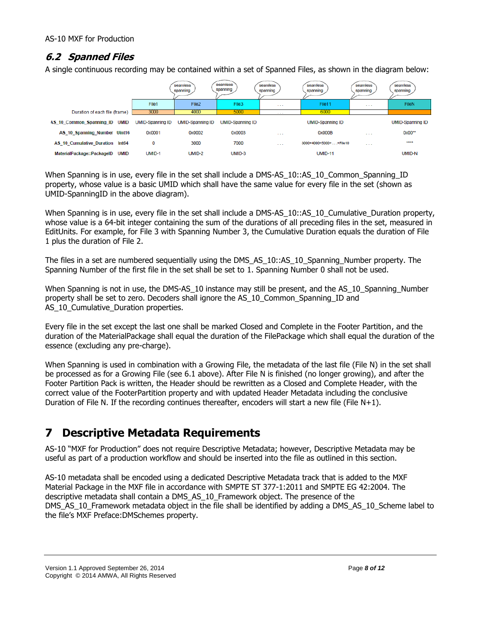## **6.2 Spanned Files**

A single continuous recording may be contained within a set of Spanned Files, as shown in the diagram below:

|                                 |                         | seamless<br>spanning | seamless<br>spanning | seamless<br>spanning | seamless<br>spanning    | seamless<br>spanning | seamless<br>spanning    |
|---------------------------------|-------------------------|----------------------|----------------------|----------------------|-------------------------|----------------------|-------------------------|
|                                 | File1                   | File2                | File3                | $\sim$ $\sim$ $\sim$ | File11                  | $ -$                 | FileN                   |
| Duration of each file (frame)   | 3000                    | 4000                 | 5000                 | .                    | 6000                    |                      |                         |
| AS 10 Common Spanning ID UMID   | <b>UMID-Spanning ID</b> | UMID-Spanning ID     | UMID-Spanning ID     |                      | <b>UMID-Spanning ID</b> |                      | <b>UMID-Spanning ID</b> |
| AS 10 Spanning Number Uint16    | 0x0001                  | 0x0002               | 0x0003               | $\sim$ $\sim$        | 0x000B                  | $-$                  | $0x00**$                |
| AS 10 Cumulative Duration Int64 | 0                       | 3000                 | 7000                 | $\sim$ $\sim$ $\sim$ | 3000+4000+5000++File10  | $\sim$ $\sim$ $\sim$ | ****                    |
| MaterialPackage::PackageID UMID | UMID-1                  | $UMID-2$             | UMID-3               |                      | <b>UMID-11</b>          |                      | <b>UMID-N</b>           |

When Spanning is in use, every file in the set shall include a DMS-AS 10::AS 10 Common Spanning ID property, whose value is a basic UMID which shall have the same value for every file in the set (shown as UMID-SpanningID in the above diagram).

When Spanning is in use, every file in the set shall include a DMS-AS 10::AS 10 Cumulative Duration property, whose value is a 64-bit integer containing the sum of the durations of all preceding files in the set, measured in EditUnits. For example, for File 3 with Spanning Number 3, the Cumulative Duration equals the duration of File 1 plus the duration of File 2.

The files in a set are numbered sequentially using the DMS\_AS\_10::AS\_10\_Spanning\_Number property. The Spanning Number of the first file in the set shall be set to 1. Spanning Number 0 shall not be used.

When Spanning is not in use, the DMS-AS\_10 instance may still be present, and the AS\_10\_Spanning\_Number property shall be set to zero. Decoders shall ignore the AS\_10\_Common\_Spanning\_ID and AS 10 Cumulative Duration properties.

Every file in the set except the last one shall be marked Closed and Complete in the Footer Partition, and the duration of the MaterialPackage shall equal the duration of the FilePackage which shall equal the duration of the essence (excluding any pre-charge).

When Spanning is used in combination with a Growing File, the metadata of the last file (File N) in the set shall be processed as for a Growing File (see [6.1 above\)](#page-6-0). After File N is finished (no longer growing), and after the Footer Partition Pack is written, the Header should be rewritten as a Closed and Complete Header, with the correct value of the FooterPartition property and with updated Header Metadata including the conclusive Duration of File N. If the recording continues thereafter, encoders will start a new file (File N+1).

# **7 Descriptive Metadata Requirements**

AS-10 "MXF for Production" does not require Descriptive Metadata; however, Descriptive Metadata may be useful as part of a production workflow and should be inserted into the file as outlined in this section.

AS-10 metadata shall be encoded using a dedicated Descriptive Metadata track that is added to the MXF Material Package in the MXF file in accordance with SMPTE ST 377-1:2011 and SMPTE EG 42:2004. The descriptive metadata shall contain a DMS\_AS\_10\_Framework object. The presence of the DMS\_AS\_10\_Framework metadata object in the file shall be identified by adding a DMS\_AS\_10\_Scheme label to the file's MXF Preface:DMSchemes property.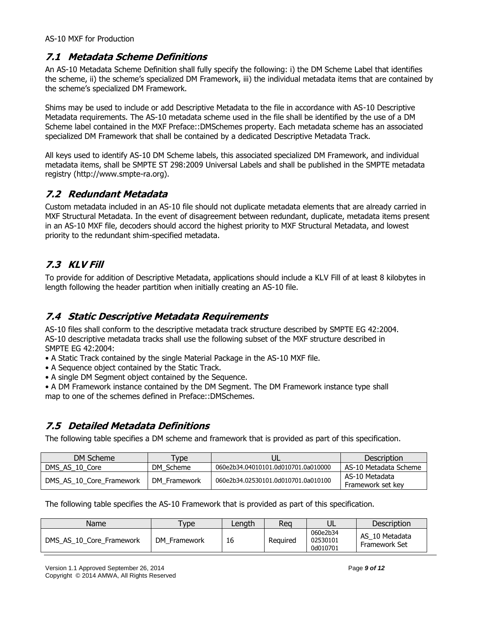### **7.1 Metadata Scheme Definitions**

An AS-10 Metadata Scheme Definition shall fully specify the following: i) the DM Scheme Label that identifies the scheme, ii) the scheme's specialized DM Framework, iii) the individual metadata items that are contained by the scheme's specialized DM Framework.

Shims may be used to include or add Descriptive Metadata to the file in accordance with AS-10 Descriptive Metadata requirements. The AS-10 metadata scheme used in the file shall be identified by the use of a DM Scheme label contained in the MXF Preface::DMSchemes property. Each metadata scheme has an associated specialized DM Framework that shall be contained by a dedicated Descriptive Metadata Track.

All keys used to identify AS-10 DM Scheme labels, this associated specialized DM Framework, and individual metadata items, shall be SMPTE ST 298:2009 Universal Labels and shall be published in the SMPTE metadata registry (http://www.smpte-ra.org).

### **7.2 Redundant Metadata**

Custom metadata included in an AS-10 file should not duplicate metadata elements that are already carried in MXF Structural Metadata. In the event of disagreement between redundant, duplicate, metadata items present in an AS-10 MXF file, decoders should accord the highest priority to MXF Structural Metadata, and lowest priority to the redundant shim-specified metadata.

## **7.3 KLV Fill**

To provide for addition of Descriptive Metadata, applications should include a KLV Fill of at least 8 kilobytes in length following the header partition when initially creating an AS-10 file.

## **7.4 Static Descriptive Metadata Requirements**

AS-10 files shall conform to the descriptive metadata track structure described by SMPTE EG 42:2004. AS-10 descriptive metadata tracks shall use the following subset of the MXF structure described in SMPTE EG 42:2004:

- A Static Track contained by the single Material Package in the AS-10 MXF file.
- A Sequence object contained by the Static Track.
- A single DM Segment object contained by the Sequence.

• A DM Framework instance contained by the DM Segment. The DM Framework instance type shall map to one of the schemes defined in Preface::DMSchemes.

## **7.5 Detailed Metadata Definitions**

The following table specifies a DM scheme and framework that is provided as part of this specification.

| DM Scheme                | vpe          |                                     | <b>Description</b>                  |
|--------------------------|--------------|-------------------------------------|-------------------------------------|
| DMS AS 10 Core           | DM Scheme    | 060e2b34.04010101.0d010701.0a010000 | AS-10 Metadata Scheme               |
| DMS_AS_10_Core_Framework | DM Framework | 060e2b34.02530101.0d010701.0a010100 | AS-10 Metadata<br>Framework set key |

The following table specifies the AS-10 Framework that is provided as part of this specification.

| Name                     | $T$ <sub>V</sub> $pe$ | Length | Rea      | UL                               | <b>Description</b>              |
|--------------------------|-----------------------|--------|----------|----------------------------------|---------------------------------|
| DMS AS 10 Core Framework | DM<br>Framework       | 16     | Reguired | 060e2b34<br>02530101<br>0d010701 | AS 10 Metadata<br>Framework Set |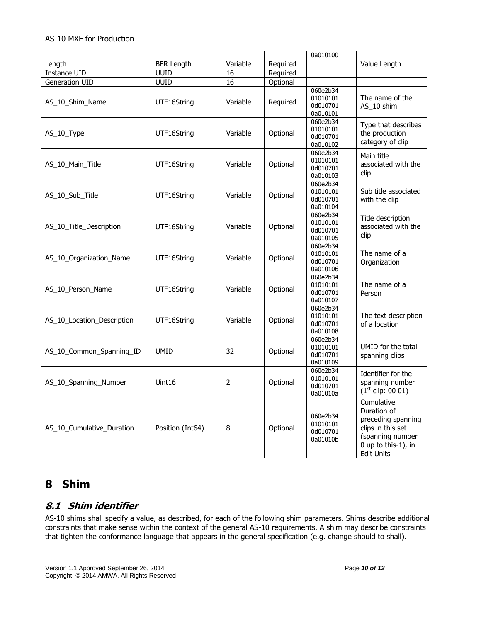|                            |                   |          |          | 0a010100                                     |                                                                                                                                      |
|----------------------------|-------------------|----------|----------|----------------------------------------------|--------------------------------------------------------------------------------------------------------------------------------------|
| Length                     | <b>BER Length</b> | Variable | Required |                                              | Value Length                                                                                                                         |
| <b>Instance UID</b>        | <b>UUID</b>       | 16       | Required |                                              |                                                                                                                                      |
| Generation UID             | <b>UUID</b>       | 16       | Optional |                                              |                                                                                                                                      |
| AS_10_Shim_Name            | UTF16String       | Variable | Required | 060e2b34<br>01010101<br>0d010701<br>0a010101 | The name of the<br>AS_10 shim                                                                                                        |
| AS_10_Type                 | UTF16String       | Variable | Optional | 060e2b34<br>01010101<br>0d010701<br>0a010102 | Type that describes<br>the production<br>category of clip                                                                            |
| AS 10 Main Title           | UTF16String       | Variable | Optional | 060e2b34<br>01010101<br>0d010701<br>0a010103 | Main title<br>associated with the<br>clip                                                                                            |
| AS_10_Sub_Title            | UTF16String       | Variable | Optional | 060e2b34<br>01010101<br>0d010701<br>0a010104 | Sub title associated<br>with the clip                                                                                                |
| AS_10_Title_Description    | UTF16String       | Variable | Optional | 060e2b34<br>01010101<br>0d010701<br>0a010105 | Title description<br>associated with the<br>clip                                                                                     |
| AS_10_Organization_Name    | UTF16String       | Variable | Optional | 060e2b34<br>01010101<br>0d010701<br>0a010106 | The name of a<br>Organization                                                                                                        |
| AS_10_Person_Name          | UTF16String       | Variable | Optional | 060e2b34<br>01010101<br>0d010701<br>0a010107 | The name of a<br>Person                                                                                                              |
| AS_10_Location_Description | UTF16String       | Variable | Optional | 060e2b34<br>01010101<br>0d010701<br>0a010108 | The text description<br>of a location                                                                                                |
| AS_10_Common_Spanning_ID   | <b>UMID</b>       | 32       | Optional | 060e2b34<br>01010101<br>0d010701<br>0a010109 | UMID for the total<br>spanning clips                                                                                                 |
| AS_10_Spanning_Number      | Uint16            | 2        | Optional | 060e2b34<br>01010101<br>0d010701<br>0a01010a | Identifier for the<br>spanning number<br>(1 <sup>st</sup> clip: 00 01)                                                               |
| AS_10_Cumulative_Duration  | Position (Int64)  | 8        | Optional | 060e2b34<br>01010101<br>0d010701<br>0a01010b | Cumulative<br>Duration of<br>preceding spanning<br>clips in this set<br>(spanning number<br>0 up to this-1), in<br><b>Edit Units</b> |

# **8 Shim**

## **8.1 Shim identifier**

AS-10 shims shall specify a value, as described, for each of the following shim parameters. Shims describe additional constraints that make sense within the context of the general AS-10 requirements. A shim may describe constraints that tighten the conformance language that appears in the general specification (e.g. change should to shall).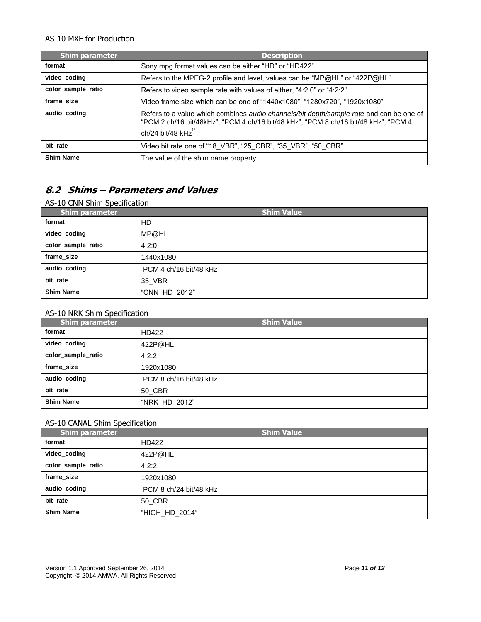| <b>Shim parameter</b> | <b>Description</b>                                                                                                                                                                                  |
|-----------------------|-----------------------------------------------------------------------------------------------------------------------------------------------------------------------------------------------------|
| format                | Sony mpg format values can be either "HD" or "HD422"                                                                                                                                                |
| video_coding          | Refers to the MPEG-2 profile and level, values can be "MP@HL" or "422P@HL"                                                                                                                          |
| color_sample_ratio    | Refers to video sample rate with values of either, "4:2:0" or "4:2:2"                                                                                                                               |
| frame size            | Video frame size which can be one of "1440x1080", "1280x720", "1920x1080"                                                                                                                           |
| audio coding          | Refers to a value which combines audio channels/bit depth/sample rate and can be one of<br>"PCM 2 ch/16 bit/48kHz", "PCM 4 ch/16 bit/48 kHz", "PCM 8 ch/16 bit/48 kHz", "PCM 4<br>ch/24 bit/48 kHz" |
| bit rate              | Video bit rate one of "18 VBR", "25 CBR", "35 VBR", "50 CBR"                                                                                                                                        |
| <b>Shim Name</b>      | The value of the shim name property                                                                                                                                                                 |

## **8.2 Shims – Parameters and Values**

#### AS-10 CNN Shim Specification

| Shim parameter     | <b>Shim Value</b>      |  |  |  |
|--------------------|------------------------|--|--|--|
| format             | HD                     |  |  |  |
| video_coding       | MP@HL                  |  |  |  |
| color_sample_ratio | 4:2:0                  |  |  |  |
| frame size         | 1440x1080              |  |  |  |
| audio_coding       | PCM 4 ch/16 bit/48 kHz |  |  |  |
| bit rate           | 35_VBR                 |  |  |  |
| <b>Shim Name</b>   | "CNN HD 2012"          |  |  |  |

#### AS-10 NRK Shim Specification

| Shim parameter     | <b>Shim Value</b>      |
|--------------------|------------------------|
| format             | HD422                  |
| video_coding       | 422P@HL                |
| color_sample_ratio | 4:2:2                  |
| frame size         | 1920x1080              |
| audio_coding       | PCM 8 ch/16 bit/48 kHz |
| bit rate           | 50_CBR                 |
| <b>Shim Name</b>   | "NRK HD 2012"          |

#### AS-10 CANAL Shim Specification

| Shim parameter     | <b>Shim Value</b>      |
|--------------------|------------------------|
| format             | HD422                  |
| video_coding       | 422P@HL                |
| color_sample_ratio | 4:2:2                  |
| frame size         | 1920x1080              |
| audio_coding       | PCM 8 ch/24 bit/48 kHz |
| bit rate           | 50 CBR                 |
| <b>Shim Name</b>   | "HIGH_HD_2014"         |